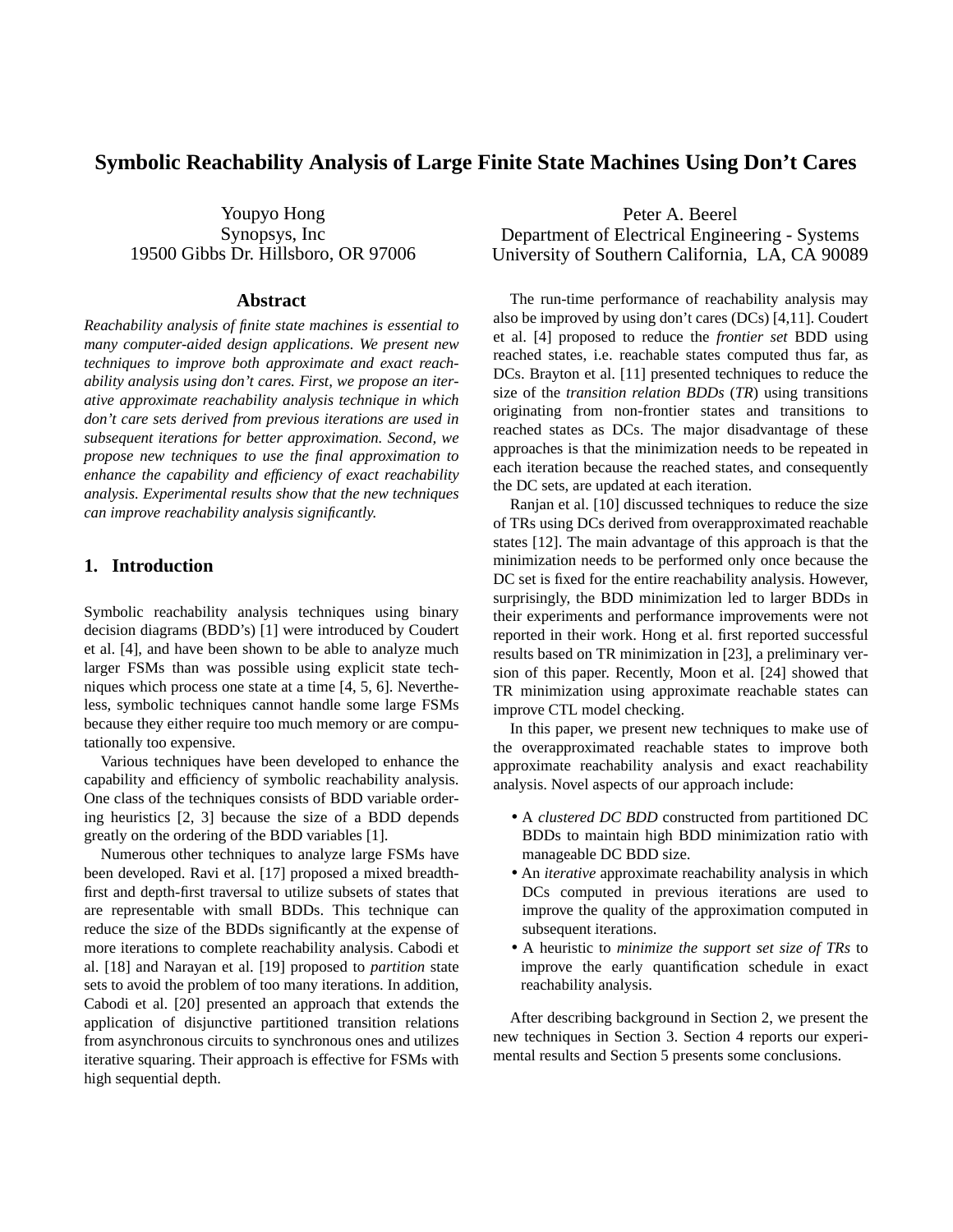# **Symbolic Reachability Analysis of Large Finite State Machines Using Don't Cares**

Youpyo Hong Synopsys, Inc 19500 Gibbs Dr. Hillsboro, OR 97006

#### **Abstract**

*Reachability analysis of finite state machines is essential to many computer-aided design applications. We present new techniques to improve both approximate and exact reachability analysis using don't cares. First, we propose an iterative approximate reachability analysis technique in which don't care sets derived from previous iterations are used in subsequent iterations for better approximation. Second, we propose new techniques to use the final approximation to enhance the capability and efficiency of exact reachability analysis. Experimental results show that the new techniques can improve reachability analysis significantly.*

# **1. Introduction**

Symbolic reachability analysis techniques using binary decision diagrams (BDD's) [1] were introduced by Coudert et al. [4], and have been shown to be able to analyze much larger FSMs than was possible using explicit state techniques which process one state at a time [4, 5, 6]. Nevertheless, symbolic techniques cannot handle some large FSMs because they either require too much memory or are computationally too expensive.

Various techniques have been developed to enhance the capability and efficiency of symbolic reachability analysis. One class of the techniques consists of BDD variable ordering heuristics [2, 3] because the size of a BDD depends greatly on the ordering of the BDD variables [1].

Numerous other techniques to analyze large FSMs have been developed. Ravi et al. [17] proposed a mixed breadthfirst and depth-first traversal to utilize subsets of states that are representable with small BDDs. This technique can reduce the size of the BDDs significantly at the expense of more iterations to complete reachability analysis. Cabodi et al. [18] and Narayan et al. [19] proposed to *partition* state sets to avoid the problem of too many iterations. In addition, Cabodi et al. [20] presented an approach that extends the application of disjunctive partitioned transition relations from asynchronous circuits to synchronous ones and utilizes iterative squaring. Their approach is effective for FSMs with high sequential depth.

Peter A. Beerel Department of Electrical Engineering - Systems University of Southern California, LA, CA 90089

The run-time performance of reachability analysis may also be improved by using don't cares (DCs) [4,11]. Coudert et al. [4] proposed to reduce the *frontier set* BDD using reached states, i.e. reachable states computed thus far, as DCs. Brayton et al. [11] presented techniques to reduce the size of the *transition relation BDDs* (*TR*) using transitions originating from non-frontier states and transitions to reached states as DCs. The major disadvantage of these approaches is that the minimization needs to be repeated in each iteration because the reached states, and consequently the DC sets, are updated at each iteration.

Ranjan et al. [10] discussed techniques to reduce the size of TRs using DCs derived from overapproximated reachable states [12]. The main advantage of this approach is that the minimization needs to be performed only once because the DC set is fixed for the entire reachability analysis. However, surprisingly, the BDD minimization led to larger BDDs in their experiments and performance improvements were not reported in their work. Hong et al. first reported successful results based on TR minimization in [23], a preliminary version of this paper. Recently, Moon et al. [24] showed that TR minimization using approximate reachable states can improve CTL model checking.

In this paper, we present new techniques to make use of the overapproximated reachable states to improve both approximate reachability analysis and exact reachability analysis. Novel aspects of our approach include:

- A *clustered DC BDD* constructed from partitioned DC BDDs to maintain high BDD minimization ratio with manageable DC BDD size.
- An *iterative* approximate reachability analysis in which DCs computed in previous iterations are used to improve the quality of the approximation computed in subsequent iterations.
- A heuristic to *minimize the support set size of TRs* to improve the early quantification schedule in exact reachability analysis.

After describing background in Section 2, we present the new techniques in Section 3. Section 4 reports our experimental results and Section 5 presents some conclusions.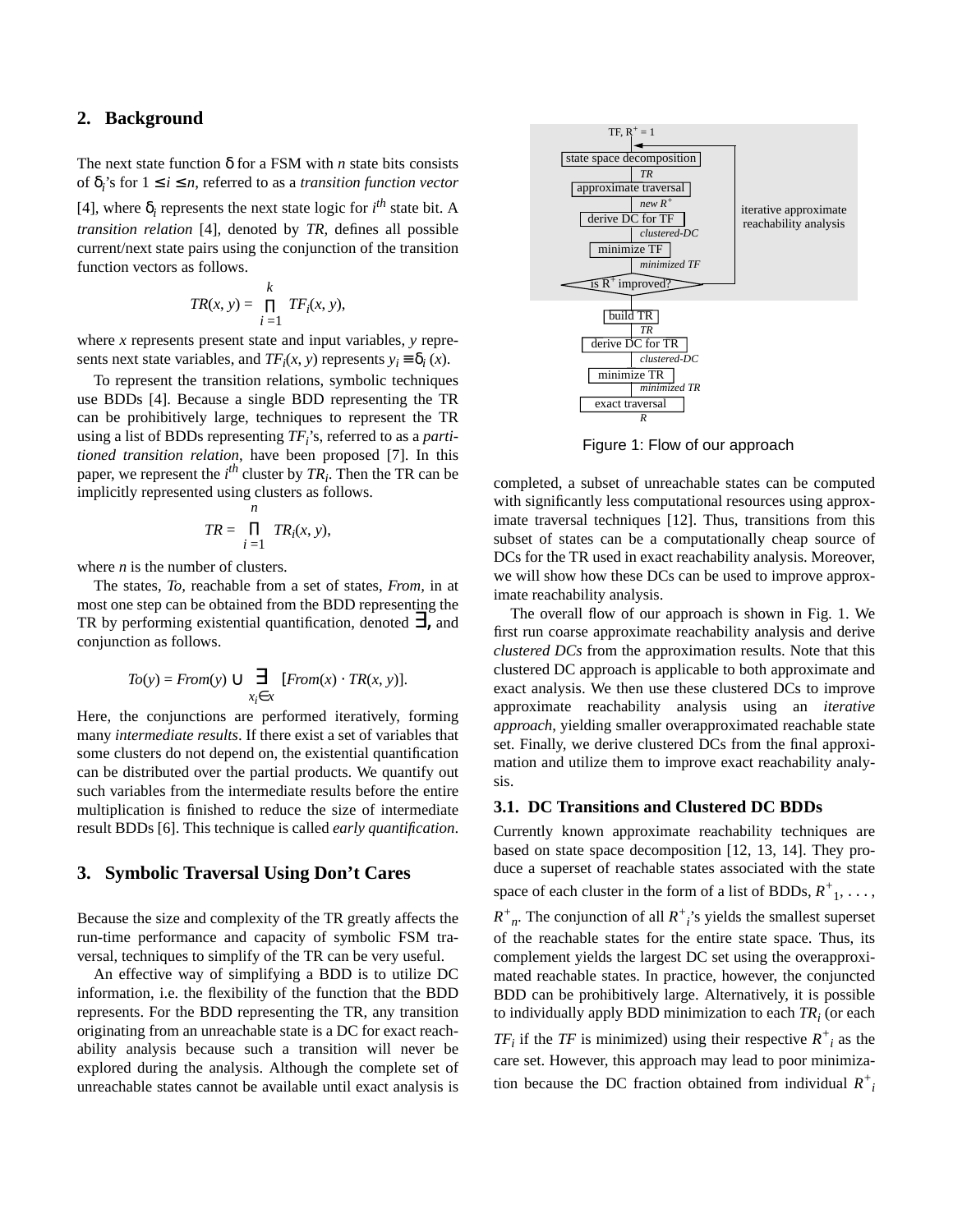# **2. Background**

The next state function δ for a FSM with *n* state bits consists of δ*<sup>i</sup>* 's for 1 ≤ *i* ≤ *n*, referred to as a *transition function vector*

[4], where  $\delta_i$  represents the next state logic for  $i^{th}$  state bit. A *transition relation* [4]*,* denoted by *TR,* defines all possible current/next state pairs using the conjunction of the transition function vectors as follows.

$$
TR(x, y) = \prod_{i=1}^{k} TF_i(x, y),
$$

where *x* represents present state and input variables, *y* represents next state variables, and  $TF_i(x, y)$  represents  $y_i \equiv \delta_i(x)$ .

To represent the transition relations, symbolic techniques use BDDs [4]. Because a single BDD representing the TR can be prohibitively large, techniques to represent the TR using a list of BDDs representing *TFi* 's, referred to as a *partitioned transition relation*, have been proposed [7]. In this paper, we represent the  $i^{th}$  cluster by  $TR_i$ . Then the TR can be implicitly represented using clusters as follows. *n*

$$
TR = \prod_{i=1} TR_i(x, y),
$$

where *n* is the number of clusters.

The states, *To,* reachable from a set of states, *From,* in at most one step can be obtained from the BDD representing the TR by performing existential quantification, denoted ∃, and conjunction as follows.

$$
To(y) = From(y) \cup \bigcup_{x_i \in x} [From(x) \cdot TR(x, y)].
$$

Here, the conjunctions are performed iteratively, forming many *intermediate results*. If there exist a set of variables that some clusters do not depend on, the existential quantification can be distributed over the partial products. We quantify out such variables from the intermediate results before the entire multiplication is finished to reduce the size of intermediate result BDDs [6]. This technique is called *early quantification*.

# **3. Symbolic Traversal Using Don't Cares**

Because the size and complexity of the TR greatly affects the run-time performance and capacity of symbolic FSM traversal, techniques to simplify of the TR can be very useful.

An effective way of simplifying a BDD is to utilize DC information, i.e. the flexibility of the function that the BDD represents. For the BDD representing the TR, any transition originating from an unreachable state is a DC for exact reachability analysis because such a transition will never be explored during the analysis. Although the complete set of unreachable states cannot be available until exact analysis is



Figure 1: Flow of our approach

completed, a subset of unreachable states can be computed with significantly less computational resources using approximate traversal techniques [12]. Thus, transitions from this subset of states can be a computationally cheap source of DCs for the TR used in exact reachability analysis. Moreover, we will show how these DCs can be used to improve approximate reachability analysis.

The overall flow of our approach is shown in Fig. 1. We first run coarse approximate reachability analysis and derive *clustered DCs* from the approximation results. Note that this clustered DC approach is applicable to both approximate and exact analysis. We then use these clustered DCs to improve approximate reachability analysis using an *iterative approach*, yielding smaller overapproximated reachable state set. Finally, we derive clustered DCs from the final approximation and utilize them to improve exact reachability analysis.

#### **3.1. DC Transitions and Clustered DC BDDs**

Currently known approximate reachability techniques are based on state space decomposition [12, 13, 14]. They produce a superset of reachable states associated with the state space of each cluster in the form of a list of BDDs,  $R^+_{1}, \ldots$ ,

 $R^+$ <sub>*n*</sub>. The conjunction of all  $R^+$ <sup>*i*</sup> s yields the smallest superset of the reachable states for the entire state space. Thus, its complement yields the largest DC set using the overapproximated reachable states. In practice, however, the conjuncted BDD can be prohibitively large. Alternatively, it is possible to individually apply BDD minimization to each *TRi* (or each

*TF<sub>i</sub>* if the *TF* is minimized) using their respective  $R^+$ <sub>*i*</sub> as the care set. However, this approach may lead to poor minimization because the DC fraction obtained from individual  $R^+$ <sub>*i*</sub>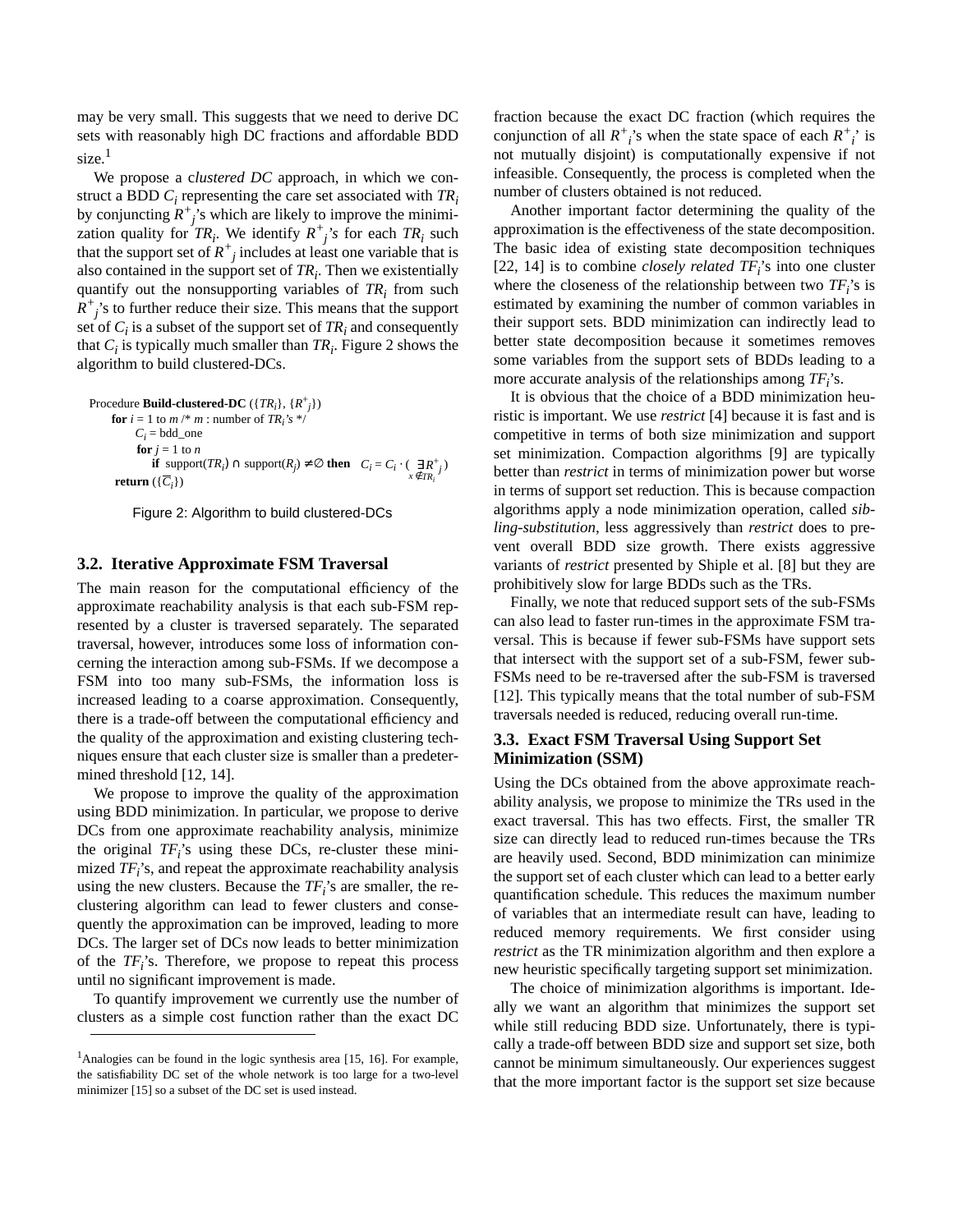may be very small. This suggests that we need to derive DC sets with reasonably high DC fractions and affordable BDD  $size<sup>1</sup>$ 

We propose a c*lustered DC* approach*,* in which we construct a BDD *Ci* representing the care set associated with *TRi* by conjuncting  $R^+$ <sup>2</sup>/<sub>j</sub>'s which are likely to improve the minimization quality for  $TR_i$ . We identify  $R^+$  *j*'s for each  $TR_i$  such that the support set of  $R^+$ <sub>*j*</sub> includes at least one variable that is also contained in the support set of *TRi* . Then we existentially quantify out the nonsupporting variables of  $TR<sub>i</sub>$  from such  $R^+$ <sup>*j*</sup>'s to further reduce their size. This means that the support set of  $C_i$  is a subset of the support set of  $TR_i$  and consequently that  $C_i$  is typically much smaller than  $TR_i$ . Figure 2 shows the algorithm to build clustered-DCs.

```
for i = 1 to m \nmid^* m : number of TR_i's<sup>*</sup>/
                    if support(TR_i) \cap support(R_j) \neq \emptyset then C_i = C_i \cdot (\frac{\exists R^+_{j}}{x \notin TR_i})Procedure Build-clustered-DC ({TR<sub>i</sub>}, {R<sup>+</sup><sub>j</sub>})
              for j = 1 to nC_i = \text{bdd\_one}return (\{\overline{C}_i\})
```
Figure 2: Algorithm to build clustered-DCs

#### **3.2. Iterative Approximate FSM Traversal**

The main reason for the computational efficiency of the approximate reachability analysis is that each sub-FSM represented by a cluster is traversed separately. The separated traversal, however, introduces some loss of information concerning the interaction among sub-FSMs. If we decompose a FSM into too many sub-FSMs, the information loss is increased leading to a coarse approximation. Consequently, there is a trade-off between the computational efficiency and the quality of the approximation and existing clustering techniques ensure that each cluster size is smaller than a predetermined threshold [12, 14].

We propose to improve the quality of the approximation using BDD minimization. In particular, we propose to derive DCs from one approximate reachability analysis, minimize the original  $TF_i$ 's using these DCs, re-cluster these minimized  $TF<sub>i</sub>$ 's, and repeat the approximate reachability analysis using the new clusters. Because the  $TF_i$ 's are smaller, the reclustering algorithm can lead to fewer clusters and consequently the approximation can be improved, leading to more DCs. The larger set of DCs now leads to better minimization of the  $TF<sub>i</sub>$ 's. Therefore, we propose to repeat this process until no significant improvement is made.

To quantify improvement we currently use the number of clusters as a simple cost function rather than the exact DC

fraction because the exact DC fraction (which requires the conjunction of all  $R^+$ <sup>2</sup> is when the state space of each  $R^+$ <sup>2</sup> is not mutually disjoint) is computationally expensive if not infeasible. Consequently, the process is completed when the number of clusters obtained is not reduced.

Another important factor determining the quality of the approximation is the effectiveness of the state decomposition. The basic idea of existing state decomposition techniques  $[22, 14]$  is to combine *closely related TF<sub>i</sub>*'s into one cluster where the closeness of the relationship between two  $TF_i$ 's is estimated by examining the number of common variables in their support sets. BDD minimization can indirectly lead to better state decomposition because it sometimes removes some variables from the support sets of BDDs leading to a more accurate analysis of the relationships among *TFi* 's.

It is obvious that the choice of a BDD minimization heuristic is important. We use *restrict* [4] because it is fast and is competitive in terms of both size minimization and support set minimization. Compaction algorithms [9] are typically better than *restrict* in terms of minimization power but worse in terms of support set reduction. This is because compaction algorithms apply a node minimization operation, called *sibling-substitution*, less aggressively than *restrict* does to prevent overall BDD size growth. There exists aggressive variants of *restrict* presented by Shiple et al. [8] but they are prohibitively slow for large BDDs such as the TRs.

Finally, we note that reduced support sets of the sub-FSMs can also lead to faster run-times in the approximate FSM traversal. This is because if fewer sub-FSMs have support sets that intersect with the support set of a sub-FSM, fewer sub-FSMs need to be re-traversed after the sub-FSM is traversed [12]. This typically means that the total number of sub-FSM traversals needed is reduced, reducing overall run-time.

# **3.3. Exact FSM Traversal Using Support Set Minimization (SSM)**

Using the DCs obtained from the above approximate reachability analysis, we propose to minimize the TRs used in the exact traversal. This has two effects. First, the smaller TR size can directly lead to reduced run-times because the TRs are heavily used. Second, BDD minimization can minimize the support set of each cluster which can lead to a better early quantification schedule. This reduces the maximum number of variables that an intermediate result can have, leading to reduced memory requirements. We first consider using *restrict* as the TR minimization algorithm and then explore a new heuristic specifically targeting support set minimization.

The choice of minimization algorithms is important. Ideally we want an algorithm that minimizes the support set while still reducing BDD size. Unfortunately, there is typically a trade-off between BDD size and support set size, both cannot be minimum simultaneously. Our experiences suggest that the more important factor is the support set size because

<sup>&</sup>lt;sup>1</sup>Analogies can be found in the logic synthesis area [15, 16]. For example, the satisfiability DC set of the whole network is too large for a two-level minimizer [15] so a subset of the DC set is used instead.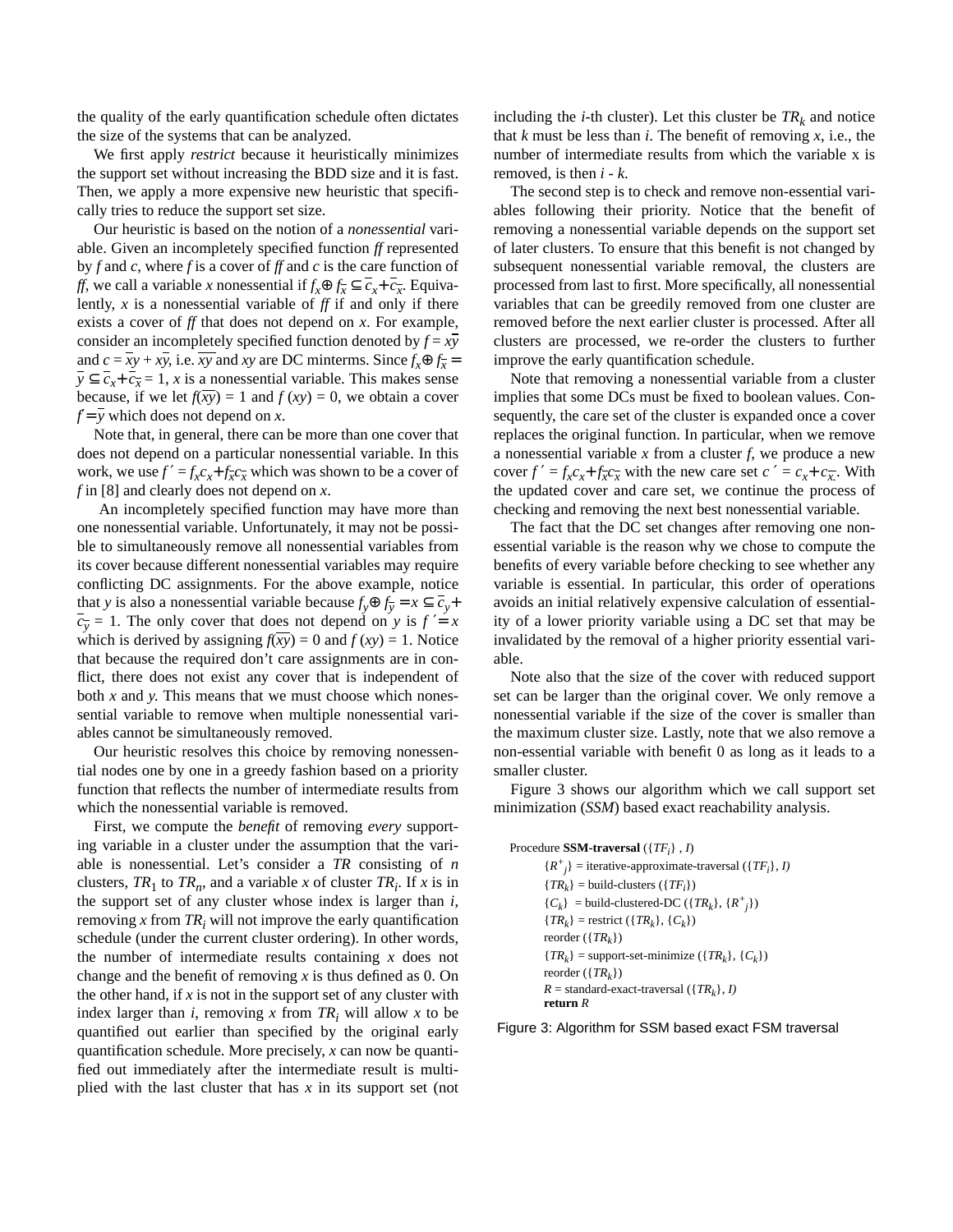the quality of the early quantification schedule often dictates the size of the systems that can be analyzed.

We first apply *restrict* because it heuristically minimizes the support set without increasing the BDD size and it is fast. Then, we apply a more expensive new heuristic that specifically tries to reduce the support set size.

Our heuristic is based on the notion of a *nonessential* variable. Given an incompletely specified function *ff* represented by *f* and *c*, where *f* is a cover of *ff* and *c* is the care function of *ff*, we call a variable *x* nonessential if  $f_x \oplus f_y \subseteq \overline{c_x} + \overline{c_y}$ . Equivalently, *x* is a nonessential variable of *ff* if and only if there exists a cover of *ff* that does not depend on *x*. For example, consider an incompletely specified function denoted by  $f = x\overline{y}$ and  $c = xy + xy$ , i.e.  $\overline{xy}$  and  $xy$  are DC minterms. Since  $f_x \oplus f_{\overline{x}} =$  $\overline{y} \subseteq \overline{c_x} + \overline{c_x} = 1$ , *x* is a nonessential variable. This makes sense because, if we let  $f(xy) = 1$  and  $f(xy) = 0$ , we obtain a cover  $f = \overline{y}$  which does not depend on *x*.

Note that, in general, there can be more than one cover that does not depend on a particular nonessential variable. In this work, we use  $f' = f_x c_x + f_x c_x$  which was shown to be a cover of *f* in [8] and clearly does not depend on *x*.

An incompletely specified function may have more than one nonessential variable. Unfortunately, it may not be possible to simultaneously remove all nonessential variables from its cover because different nonessential variables may require conflicting DC assignments. For the above example, notice that *y* is also a nonessential variable because  $f_v \oplus f_{\overline{v}} = x \subseteq c_v +$  $c_y = 1$ . The only cover that does not depend on *y* is  $f' = x$ which is derived by assigning  $f(xy) = 0$  and  $f (xy) = 1$ . Notice that because the required don't care assignments are in conflict, there does not exist any cover that is independent of both *x* and *y*. This means that we must choose which nonessential variable to remove when multiple nonessential variables cannot be simultaneously removed.

Our heuristic resolves this choice by removing nonessential nodes one by one in a greedy fashion based on a priority function that reflects the number of intermediate results from which the nonessential variable is removed.

First, we compute the *benefit* of removing *every* supporting variable in a cluster under the assumption that the variable is nonessential. Let's consider a *TR* consisting of *n* clusters,  $TR_1$  to  $TR_n$ , and a variable *x* of cluster  $TR_i$ . If *x* is in the support set of any cluster whose index is larger than *i*, removing x from  $TR_i$  will not improve the early quantification schedule (under the current cluster ordering). In other words, the number of intermediate results containing *x* does not change and the benefit of removing *x* is thus defined as 0. On the other hand, if  $x$  is not in the support set of any cluster with index larger than *i*, removing *x* from  $TR_i$  will allow *x* to be quantified out earlier than specified by the original early quantification schedule. More precisely, *x* can now be quantified out immediately after the intermediate result is multiplied with the last cluster that has *x* in its support set (not

including the *i*-th cluster). Let this cluster be  $TR_k$  and notice that *k* must be less than *i*. The benefit of removing *x*, i.e., the number of intermediate results from which the variable x is removed, is then *i* - *k*.

The second step is to check and remove non-essential variables following their priority. Notice that the benefit of removing a nonessential variable depends on the support set of later clusters. To ensure that this benefit is not changed by subsequent nonessential variable removal, the clusters are processed from last to first. More specifically, all nonessential variables that can be greedily removed from one cluster are removed before the next earlier cluster is processed. After all clusters are processed, we re-order the clusters to further improve the early quantification schedule.

Note that removing a nonessential variable from a cluster implies that some DCs must be fixed to boolean values. Consequently, the care set of the cluster is expanded once a cover replaces the original function. In particular, when we remove a nonessential variable *x* from a cluster *f*, we produce a new cover  $f' = f_x c_x + f_x c_x$  with the new care set  $c' = c_x + c_x$ . With the updated cover and care set, we continue the process of checking and removing the next best nonessential variable.

The fact that the DC set changes after removing one nonessential variable is the reason why we chose to compute the benefits of every variable before checking to see whether any variable is essential. In particular, this order of operations avoids an initial relatively expensive calculation of essentiality of a lower priority variable using a DC set that may be invalidated by the removal of a higher priority essential variable.

Note also that the size of the cover with reduced support set can be larger than the original cover. We only remove a nonessential variable if the size of the cover is smaller than the maximum cluster size. Lastly, note that we also remove a non-essential variable with benefit 0 as long as it leads to a smaller cluster.

Figure 3 shows our algorithm which we call support set minimization (*SSM*) based exact reachability analysis.

```
Procedure SSM-traversal ({TFi
} , I)
```

```
{R^+}_j = iterative-approximate-traversal ({TF_i}, I)
return R
R = standard-exact-traversal ({TR_k}, I)
{TR_k} = build-clusters ({TF_i})
{C_k} = build-clustered-DC ({TR_k}, {R^+}_j)
{TR_k} = restrict ({TR_k}, {C_k})
reorder ({TR_k}){TR_k} = support-set-minimize ({TR_k}, {C_k})
reorder ({TR<sub>k</sub>})
```
Figure 3: Algorithm for SSM based exact FSM traversal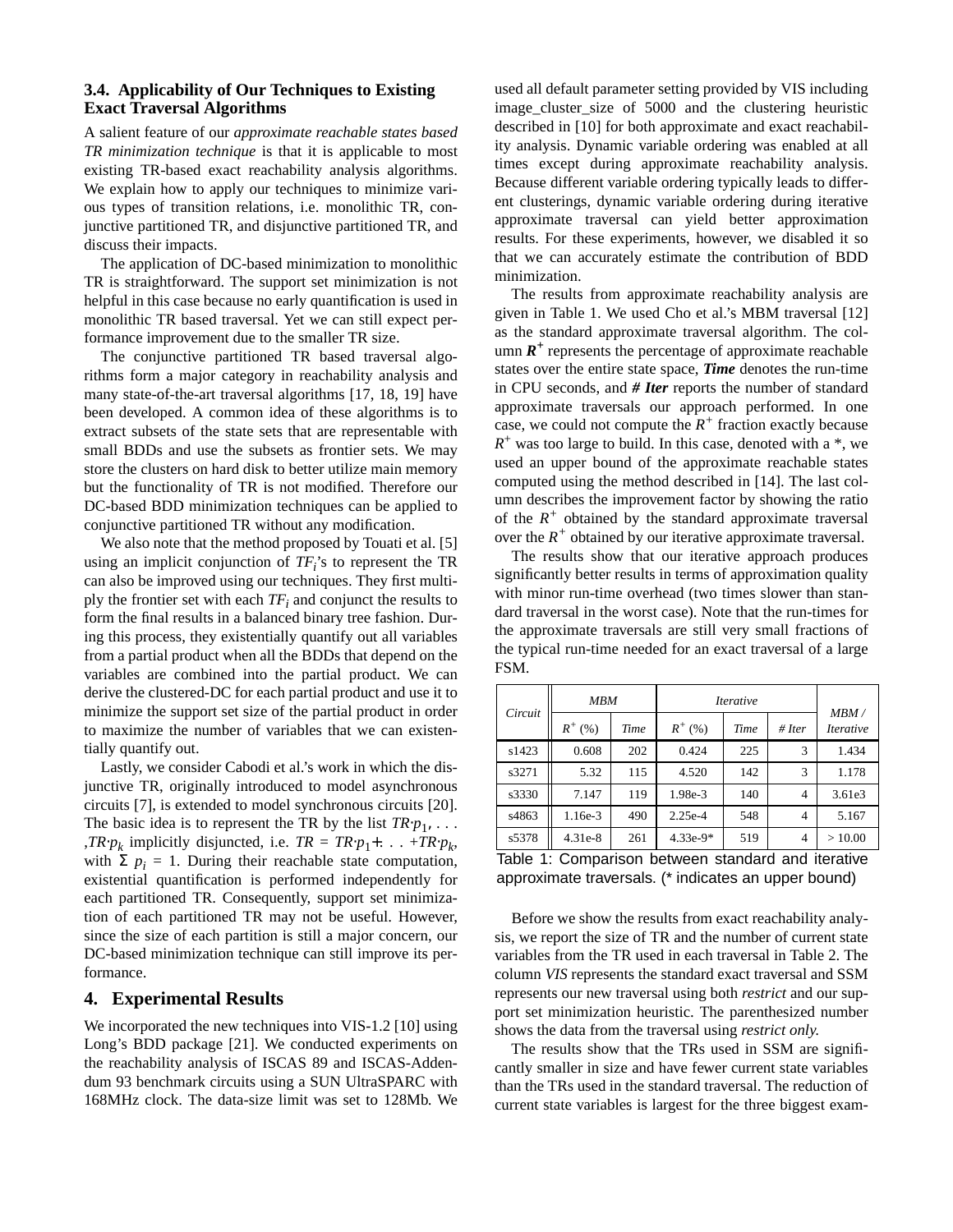# **3.4. Applicability of Our Techniques to Existing Exact Traversal Algorithms**

A salient feature of our *approximate reachable states based TR minimization technique* is that it is applicable to most existing TR-based exact reachability analysis algorithms. We explain how to apply our techniques to minimize various types of transition relations, i.e. monolithic TR, conjunctive partitioned TR, and disjunctive partitioned TR, and discuss their impacts.

The application of DC-based minimization to monolithic TR is straightforward. The support set minimization is not helpful in this case because no early quantification is used in monolithic TR based traversal. Yet we can still expect performance improvement due to the smaller TR size.

The conjunctive partitioned TR based traversal algorithms form a major category in reachability analysis and many state-of-the-art traversal algorithms [17, 18, 19] have been developed. A common idea of these algorithms is to extract subsets of the state sets that are representable with small BDDs and use the subsets as frontier sets. We may store the clusters on hard disk to better utilize main memory but the functionality of TR is not modified. Therefore our DC-based BDD minimization techniques can be applied to conjunctive partitioned TR without any modification.

We also note that the method proposed by Touati et al. [5] using an implicit conjunction of  $TF_i$ 's to represent the TR can also be improved using our techniques. They first multiply the frontier set with each  $TF<sub>i</sub>$  and conjunct the results to form the final results in a balanced binary tree fashion. During this process, they existentially quantify out all variables from a partial product when all the BDDs that depend on the variables are combined into the partial product. We can derive the clustered-DC for each partial product and use it to minimize the support set size of the partial product in order to maximize the number of variables that we can existentially quantify out.

Lastly, we consider Cabodi et al.'s work in which the disjunctive TR, originally introduced to model asynchronous circuits [7], is extended to model synchronous circuits [20]. The basic idea is to represent the TR by the list  $TR·p_1, \ldots$ ,*TR*⋅*p<sub>k</sub>* implicitly disjuncted, i.e.  $TR = TR·p_1 + ... + TR·p_k$ , with  $\Sigma$   $p_i = 1$ . During their reachable state computation, existential quantification is performed independently for each partitioned TR. Consequently, support set minimization of each partitioned TR may not be useful. However, since the size of each partition is still a major concern, our DC-based minimization technique can still improve its performance.

#### **4. Experimental Results**

We incorporated the new techniques into VIS-1.2 [10] using Long's BDD package [21]. We conducted experiments on the reachability analysis of ISCAS 89 and ISCAS-Addendum 93 benchmark circuits using a SUN UltraSPARC with 168MHz clock. The data-size limit was set to 128Mb. We used all default parameter setting provided by VIS including image\_cluster\_size of 5000 and the clustering heuristic described in [10] for both approximate and exact reachability analysis. Dynamic variable ordering was enabled at all times except during approximate reachability analysis. Because different variable ordering typically leads to different clusterings, dynamic variable ordering during iterative approximate traversal can yield better approximation results. For these experiments, however, we disabled it so that we can accurately estimate the contribution of BDD minimization.

The results from approximate reachability analysis are given in Table 1. We used Cho et al.'s MBM traversal [12] as the standard approximate traversal algorithm. The column  $R^+$  represents the percentage of approximate reachable states over the entire state space, *Time* denotes the run-time in CPU seconds, and *# Iter* reports the number of standard approximate traversals our approach performed. In one case, we could not compute the  $R^+$  fraction exactly because  $R^+$  was too large to build. In this case, denoted with a  $*$ , we used an upper bound of the approximate reachable states computed using the method described in [14]. The last column describes the improvement factor by showing the ratio of the  $R^+$  obtained by the standard approximate traversal over the  $R^+$  obtained by our iterative approximate traversal.

The results show that our iterative approach produces significantly better results in terms of approximation quality with minor run-time overhead (two times slower than standard traversal in the worst case). Note that the run-times for the approximate traversals are still very small fractions of the typical run-time needed for an exact traversal of a large FSM.

| Circuit | <b>MBM</b>              |      | <i><u><b>Iterative</b></u></i> |      |        |                                        |
|---------|-------------------------|------|--------------------------------|------|--------|----------------------------------------|
|         | $R^+ \left( \% \right)$ | Time | $R^+(96)$                      | Time | # Iter | MBM/<br><i><u><b>Iterative</b></u></i> |
| s1423   | 0.608                   | 202  | 0.424                          | 225  | 3      | 1.434                                  |
| s3271   | 5.32                    | 115  | 4.520                          | 142  | 3      | 1.178                                  |
| s3330   | 7.147                   | 119  | 1.98e-3                        | 140  | 4      | 3.61e3                                 |
| s4863   | 1.16e-3                 | 490  | $2.25e-4$                      | 548  | 4      | 5.167                                  |
| s5378   | $4.31e-8$               | 261  | $4.33e-9*$                     | 519  | 4      | >10.00                                 |

Table 1: Comparison between standard and iterative approximate traversals. (\* indicates an upper bound)

Before we show the results from exact reachability analysis, we report the size of TR and the number of current state variables from the TR used in each traversal in Table 2. The column *VIS* represents the standard exact traversal and SSM represents our new traversal using both *restrict* and our support set minimization heuristic. The parenthesized number shows the data from the traversal using *restrict only*.

The results show that the TRs used in SSM are significantly smaller in size and have fewer current state variables than the TRs used in the standard traversal. The reduction of current state variables is largest for the three biggest exam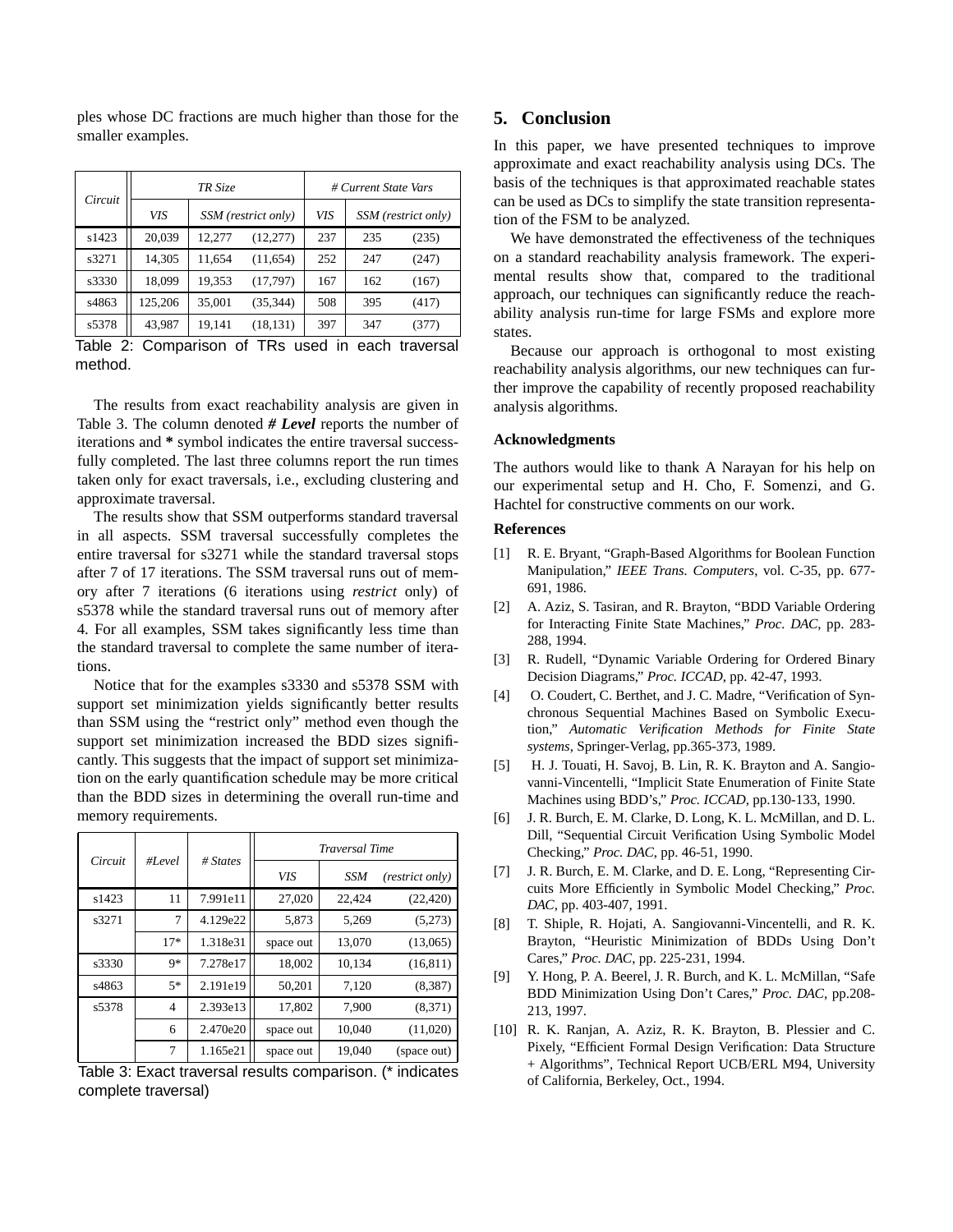ples whose DC fractions are much higher than those for the smaller examples.

| Circuit | TR Size |                     |           | # Current State Vars |                     |       |
|---------|---------|---------------------|-----------|----------------------|---------------------|-------|
|         | VIS     | SSM (restrict only) |           | VIS                  | SSM (restrict only) |       |
| s1423   | 20.039  | 12.277              | (12, 277) | 237                  | 235                 | (235) |
| s3271   | 14,305  | 11,654              | (11, 654) | 252                  | 247                 | (247) |
| s3330   | 18,099  | 19,353              | (17,797)  | 167                  | 162                 | (167) |
| s4863   | 125,206 | 35,001              | (35, 344) | 508                  | 395                 | (417) |
| s5378   | 43,987  | 19,141              | (18, 131) | 397                  | 347                 | (377) |

Table 2: Comparison of TRs used in each traversal method.

The results from exact reachability analysis are given in Table 3. The column denoted *# Level* reports the number of iterations and **\*** symbol indicates the entire traversal successfully completed. The last three columns report the run times taken only for exact traversals, i.e., excluding clustering and approximate traversal.

The results show that SSM outperforms standard traversal in all aspects. SSM traversal successfully completes the entire traversal for s3271 while the standard traversal stops after 7 of 17 iterations. The SSM traversal runs out of memory after 7 iterations (6 iterations using *restrict* only) of s5378 while the standard traversal runs out of memory after 4. For all examples, SSM takes significantly less time than the standard traversal to complete the same number of iterations.

Notice that for the examples s3330 and s5378 SSM with support set minimization yields significantly better results than SSM using the "restrict only" method even though the support set minimization increased the BDD sizes significantly. This suggests that the impact of support set minimization on the early quantification schedule may be more critical than the BDD sizes in determining the overall run-time and memory requirements.

|         |        |          | <b>Traversal Time</b> |            |                 |  |
|---------|--------|----------|-----------------------|------------|-----------------|--|
| Circuit | #Level | # States | VIS                   | <b>SSM</b> | (restrict only) |  |
| s1423   | 11     | 7.991e11 | 27,020                | 22,424     | (22, 420)       |  |
| s3271   | 7      | 4.129e22 | 5,873                 | 5,269      | (5,273)         |  |
|         | $17*$  | 1.318e31 | space out             | 13,070     | (13,065)        |  |
| s3330   | 9*     | 7.278e17 | 18,002                | 10.134     | (16, 811)       |  |
| s4863   | $5*$   | 2.191e19 | 50.201                | 7.120      | (8,387)         |  |
| s5378   | 4      | 2.393e13 | 17,802                | 7,900      | (8,371)         |  |
|         | 6      | 2.470e20 | space out             | 10,040     | (11,020)        |  |
|         |        | 1.165e21 | space out             | 19,040     | (space out)     |  |

Table 3: Exact traversal results comparison. (\* indicates complete traversal)

# **5. Conclusion**

In this paper, we have presented techniques to improve approximate and exact reachability analysis using DCs. The basis of the techniques is that approximated reachable states can be used as DCs to simplify the state transition representation of the FSM to be analyzed.

We have demonstrated the effectiveness of the techniques on a standard reachability analysis framework. The experimental results show that, compared to the traditional approach, our techniques can significantly reduce the reachability analysis run-time for large FSMs and explore more states.

Because our approach is orthogonal to most existing reachability analysis algorithms, our new techniques can further improve the capability of recently proposed reachability analysis algorithms.

#### **Acknowledgments**

The authors would like to thank A Narayan for his help on our experimental setup and H. Cho, F. Somenzi, and G. Hachtel for constructive comments on our work.

#### **References**

- [1] R. E. Bryant, "Graph-Based Algorithms for Boolean Function Manipulation," *IEEE Trans. Computers*, vol. C-35, pp. 677- 691, 1986.
- [2] A. Aziz, S. Tasiran, and R. Brayton, "BDD Variable Ordering for Interacting Finite State Machines," *Proc. DAC*, pp. 283- 288, 1994.
- [3] R. Rudell, "Dynamic Variable Ordering for Ordered Binary Decision Diagrams," *Proc. ICCAD*, pp. 42-47, 1993.
- [4] O. Coudert, C. Berthet, and J. C. Madre, "Verification of Synchronous Sequential Machines Based on Symbolic Execution," *Automatic Verification Methods for Finite State systems*, Springer-Verlag, pp.365-373, 1989.
- [5] H. J. Touati, H. Savoj, B. Lin, R. K. Brayton and A. Sangiovanni-Vincentelli, "Implicit State Enumeration of Finite State Machines using BDD's," *Proc. ICCAD*, pp.130-133, 1990.
- [6] J. R. Burch, E. M. Clarke, D. Long, K. L. McMillan, and D. L. Dill, "Sequential Circuit Verification Using Symbolic Model Checking," *Proc. DAC*, pp. 46-51, 1990.
- [7] J. R. Burch, E. M. Clarke, and D. E. Long, "Representing Circuits More Efficiently in Symbolic Model Checking," *Proc. DAC*, pp. 403-407, 1991.
- [8] T. Shiple, R. Hojati, A. Sangiovanni-Vincentelli, and R. K. Brayton, "Heuristic Minimization of BDDs Using Don't Cares," *Proc. DAC*, pp. 225-231, 1994.
- [9] Y. Hong, P. A. Beerel, J. R. Burch, and K. L. McMillan, "Safe BDD Minimization Using Don't Cares," *Proc. DAC*, pp.208- 213, 1997.
- [10] R. K. Ranjan, A. Aziz, R. K. Brayton, B. Plessier and C. Pixely, "Efficient Formal Design Verification: Data Structure + Algorithms", Technical Report UCB/ERL M94, University of California, Berkeley, Oct., 1994.